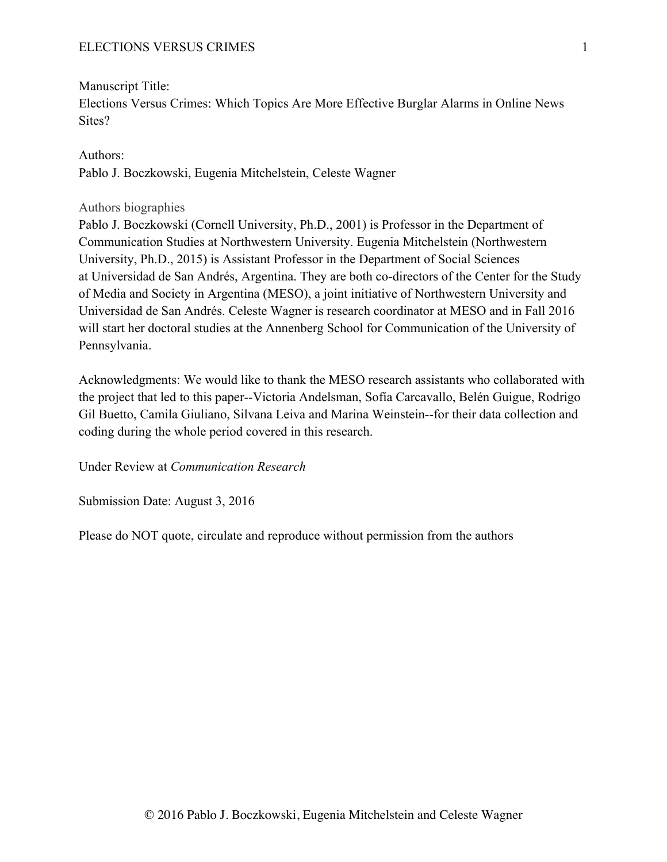Manuscript Title: Elections Versus Crimes: Which Topics Are More Effective Burglar Alarms in Online News Sites?

Authors: Pablo J. Boczkowski, Eugenia Mitchelstein, Celeste Wagner

## Authors biographies

Pablo J. Boczkowski (Cornell University, Ph.D., 2001) is Professor in the Department of Communication Studies at Northwestern University. Eugenia Mitchelstein (Northwestern University, Ph.D., 2015) is Assistant Professor in the Department of Social Sciences at Universidad de San Andrés, Argentina. They are both co-directors of the Center for the Study of Media and Society in Argentina (MESO), a joint initiative of Northwestern University and Universidad de San Andrés. Celeste Wagner is research coordinator at MESO and in Fall 2016 will start her doctoral studies at the Annenberg School for Communication of the University of Pennsylvania.

Acknowledgments: We would like to thank the MESO research assistants who collaborated with the project that led to this paper--Victoria Andelsman, Sofía Carcavallo, Belén Guigue, Rodrigo Gil Buetto, Camila Giuliano, Silvana Leiva and Marina Weinstein--for their data collection and coding during the whole period covered in this research.

Under Review at *Communication Research*

Submission Date: August 3, 2016

Please do NOT quote, circulate and reproduce without permission from the authors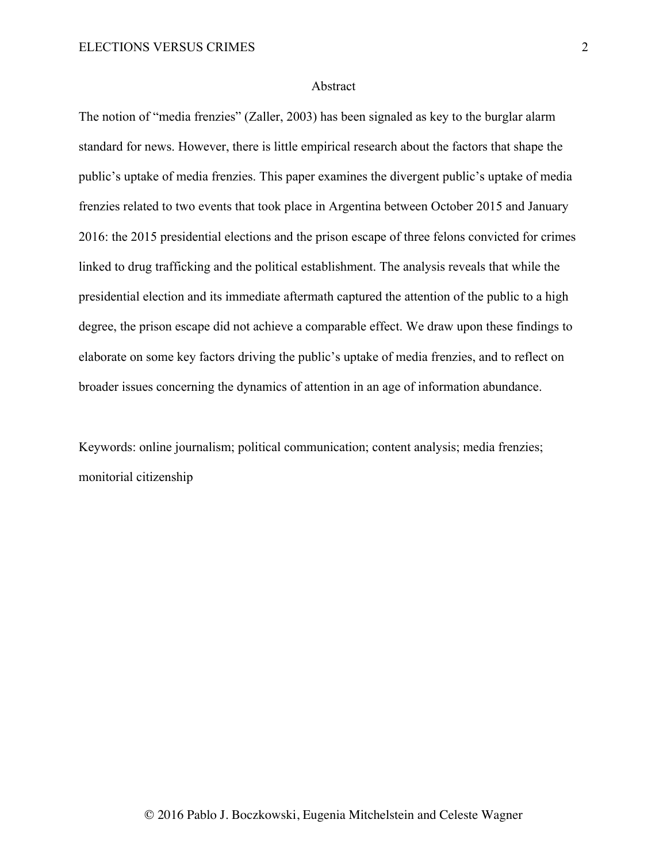## Abstract

The notion of "media frenzies" (Zaller, 2003) has been signaled as key to the burglar alarm standard for news. However, there is little empirical research about the factors that shape the public's uptake of media frenzies. This paper examines the divergent public's uptake of media frenzies related to two events that took place in Argentina between October 2015 and January 2016: the 2015 presidential elections and the prison escape of three felons convicted for crimes linked to drug trafficking and the political establishment. The analysis reveals that while the presidential election and its immediate aftermath captured the attention of the public to a high degree, the prison escape did not achieve a comparable effect. We draw upon these findings to elaborate on some key factors driving the public's uptake of media frenzies, and to reflect on broader issues concerning the dynamics of attention in an age of information abundance.

Keywords: online journalism; political communication; content analysis; media frenzies; monitorial citizenship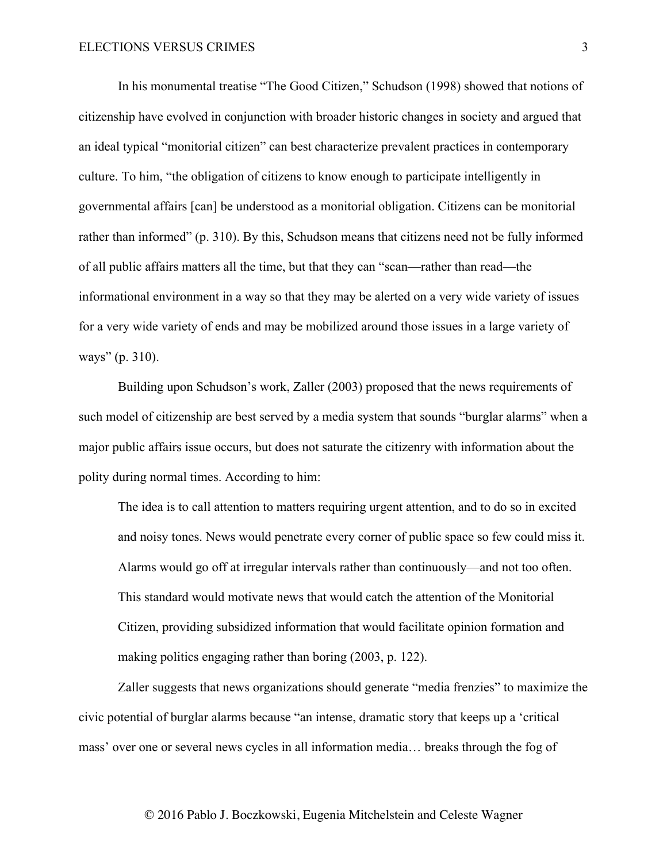In his monumental treatise "The Good Citizen," Schudson (1998) showed that notions of citizenship have evolved in conjunction with broader historic changes in society and argued that an ideal typical "monitorial citizen" can best characterize prevalent practices in contemporary culture. To him, "the obligation of citizens to know enough to participate intelligently in governmental affairs [can] be understood as a monitorial obligation. Citizens can be monitorial rather than informed" (p. 310). By this, Schudson means that citizens need not be fully informed of all public affairs matters all the time, but that they can "scan—rather than read—the informational environment in a way so that they may be alerted on a very wide variety of issues for a very wide variety of ends and may be mobilized around those issues in a large variety of ways" (p. 310).

Building upon Schudson's work, Zaller (2003) proposed that the news requirements of such model of citizenship are best served by a media system that sounds "burglar alarms" when a major public affairs issue occurs, but does not saturate the citizenry with information about the polity during normal times. According to him:

The idea is to call attention to matters requiring urgent attention, and to do so in excited and noisy tones. News would penetrate every corner of public space so few could miss it. Alarms would go off at irregular intervals rather than continuously—and not too often. This standard would motivate news that would catch the attention of the Monitorial Citizen, providing subsidized information that would facilitate opinion formation and making politics engaging rather than boring (2003, p. 122).

Zaller suggests that news organizations should generate "media frenzies" to maximize the civic potential of burglar alarms because "an intense, dramatic story that keeps up a 'critical mass' over one or several news cycles in all information media… breaks through the fog of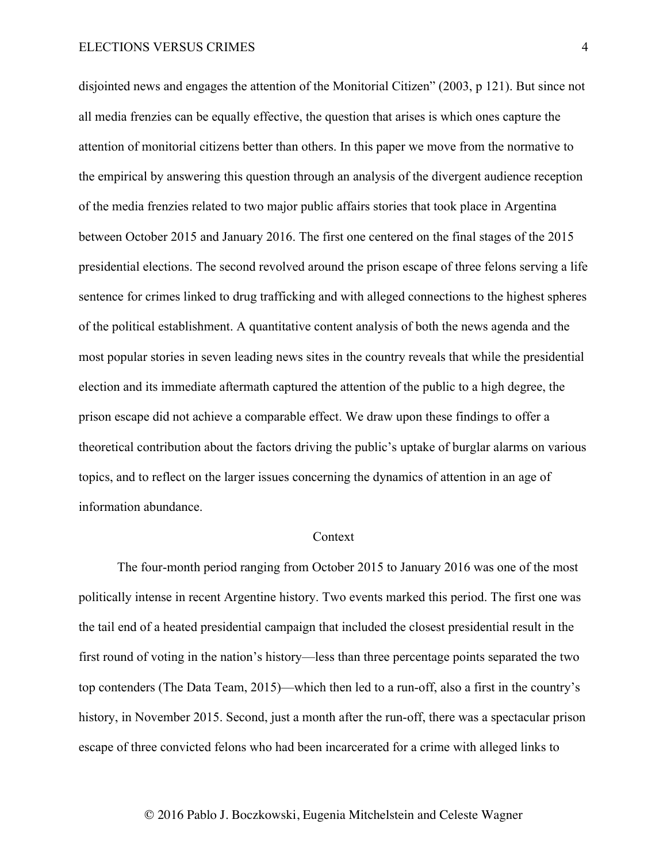disjointed news and engages the attention of the Monitorial Citizen" (2003, p 121). But since not all media frenzies can be equally effective, the question that arises is which ones capture the attention of monitorial citizens better than others. In this paper we move from the normative to the empirical by answering this question through an analysis of the divergent audience reception of the media frenzies related to two major public affairs stories that took place in Argentina between October 2015 and January 2016. The first one centered on the final stages of the 2015 presidential elections. The second revolved around the prison escape of three felons serving a life sentence for crimes linked to drug trafficking and with alleged connections to the highest spheres of the political establishment. A quantitative content analysis of both the news agenda and the most popular stories in seven leading news sites in the country reveals that while the presidential election and its immediate aftermath captured the attention of the public to a high degree, the prison escape did not achieve a comparable effect. We draw upon these findings to offer a theoretical contribution about the factors driving the public's uptake of burglar alarms on various topics, and to reflect on the larger issues concerning the dynamics of attention in an age of information abundance.

#### Context

The four-month period ranging from October 2015 to January 2016 was one of the most politically intense in recent Argentine history. Two events marked this period. The first one was the tail end of a heated presidential campaign that included the closest presidential result in the first round of voting in the nation's history—less than three percentage points separated the two top contenders (The Data Team, 2015)—which then led to a run-off, also a first in the country's history, in November 2015. Second, just a month after the run-off, there was a spectacular prison escape of three convicted felons who had been incarcerated for a crime with alleged links to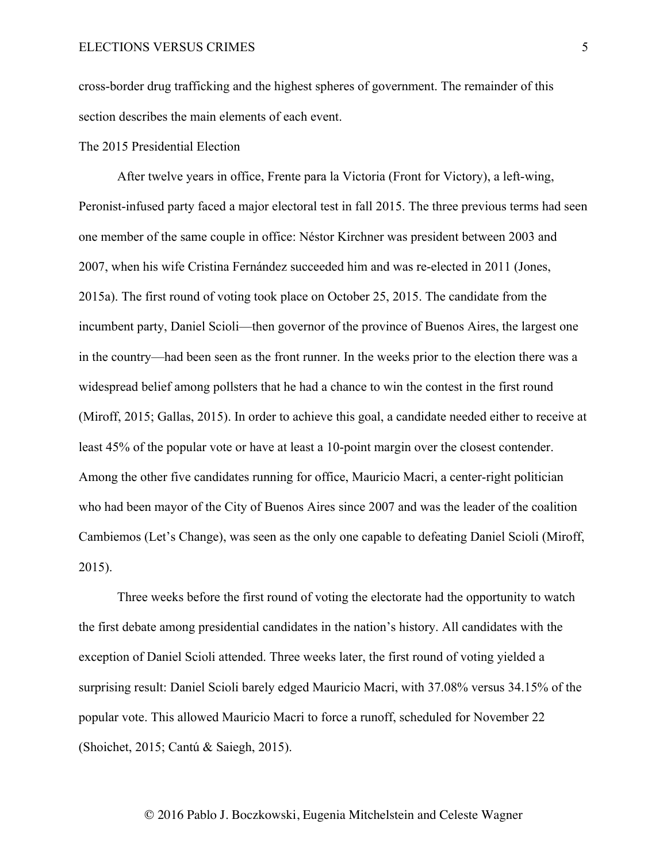cross-border drug trafficking and the highest spheres of government. The remainder of this section describes the main elements of each event.

## The 2015 Presidential Election

After twelve years in office, Frente para la Victoria (Front for Victory), a left-wing, Peronist-infused party faced a major electoral test in fall 2015. The three previous terms had seen one member of the same couple in office: Néstor Kirchner was president between 2003 and 2007, when his wife Cristina Fernández succeeded him and was re-elected in 2011 (Jones, 2015a). The first round of voting took place on October 25, 2015. The candidate from the incumbent party, Daniel Scioli—then governor of the province of Buenos Aires, the largest one in the country—had been seen as the front runner. In the weeks prior to the election there was a widespread belief among pollsters that he had a chance to win the contest in the first round (Miroff, 2015; Gallas, 2015). In order to achieve this goal, a candidate needed either to receive at least 45% of the popular vote or have at least a 10-point margin over the closest contender. Among the other five candidates running for office, Mauricio Macri, a center-right politician who had been mayor of the City of Buenos Aires since 2007 and was the leader of the coalition Cambiemos (Let's Change), was seen as the only one capable to defeating Daniel Scioli (Miroff, 2015).

Three weeks before the first round of voting the electorate had the opportunity to watch the first debate among presidential candidates in the nation's history. All candidates with the exception of Daniel Scioli attended. Three weeks later, the first round of voting yielded a surprising result: Daniel Scioli barely edged Mauricio Macri, with 37.08% versus 34.15% of the popular vote. This allowed Mauricio Macri to force a runoff, scheduled for November 22 (Shoichet, 2015; Cantú & Saiegh, 2015).

5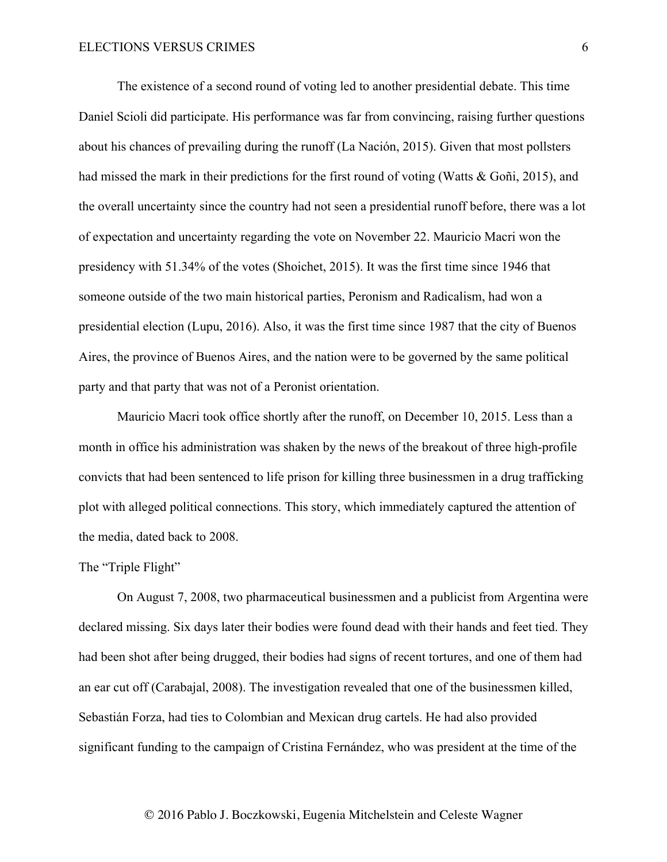The existence of a second round of voting led to another presidential debate. This time Daniel Scioli did participate. His performance was far from convincing, raising further questions about his chances of prevailing during the runoff (La Nación, 2015). Given that most pollsters had missed the mark in their predictions for the first round of voting (Watts & Goñi, 2015), and the overall uncertainty since the country had not seen a presidential runoff before, there was a lot of expectation and uncertainty regarding the vote on November 22. Mauricio Macri won the presidency with 51.34% of the votes (Shoichet, 2015). It was the first time since 1946 that someone outside of the two main historical parties, Peronism and Radicalism, had won a presidential election (Lupu, 2016). Also, it was the first time since 1987 that the city of Buenos Aires, the province of Buenos Aires, and the nation were to be governed by the same political party and that party that was not of a Peronist orientation.

Mauricio Macri took office shortly after the runoff, on December 10, 2015. Less than a month in office his administration was shaken by the news of the breakout of three high-profile convicts that had been sentenced to life prison for killing three businessmen in a drug trafficking plot with alleged political connections. This story, which immediately captured the attention of the media, dated back to 2008.

#### The "Triple Flight"

On August 7, 2008, two pharmaceutical businessmen and a publicist from Argentina were declared missing. Six days later their bodies were found dead with their hands and feet tied. They had been shot after being drugged, their bodies had signs of recent tortures, and one of them had an ear cut off (Carabajal, 2008). The investigation revealed that one of the businessmen killed, Sebastián Forza, had ties to Colombian and Mexican drug cartels. He had also provided significant funding to the campaign of Cristina Fernández, who was president at the time of the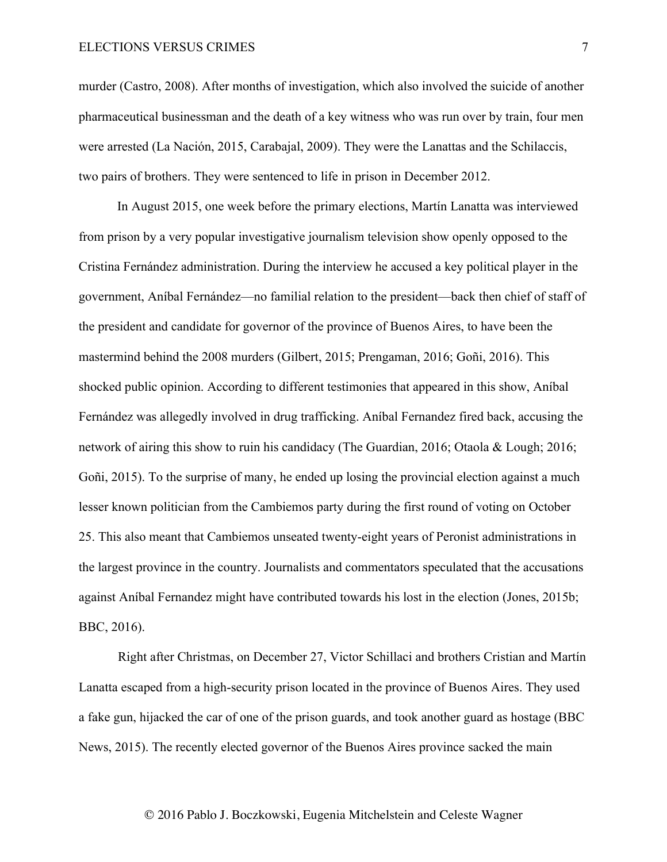murder (Castro, 2008). After months of investigation, which also involved the suicide of another pharmaceutical businessman and the death of a key witness who was run over by train, four men were arrested (La Nación, 2015, Carabajal, 2009). They were the Lanattas and the Schilaccis, two pairs of brothers. They were sentenced to life in prison in December 2012.

In August 2015, one week before the primary elections, Martín Lanatta was interviewed from prison by a very popular investigative journalism television show openly opposed to the Cristina Fernández administration. During the interview he accused a key political player in the government, Aníbal Fernández—no familial relation to the president—back then chief of staff of the president and candidate for governor of the province of Buenos Aires, to have been the mastermind behind the 2008 murders (Gilbert, 2015; Prengaman, 2016; Goñi, 2016). This shocked public opinion. According to different testimonies that appeared in this show, Aníbal Fernández was allegedly involved in drug trafficking. Aníbal Fernandez fired back, accusing the network of airing this show to ruin his candidacy (The Guardian, 2016; Otaola & Lough; 2016; Goñi, 2015). To the surprise of many, he ended up losing the provincial election against a much lesser known politician from the Cambiemos party during the first round of voting on October 25. This also meant that Cambiemos unseated twenty-eight years of Peronist administrations in the largest province in the country. Journalists and commentators speculated that the accusations against Aníbal Fernandez might have contributed towards his lost in the election (Jones, 2015b; BBC, 2016).

Right after Christmas, on December 27, Victor Schillaci and brothers Cristian and Martín Lanatta escaped from a high-security prison located in the province of Buenos Aires. They used a fake gun, hijacked the car of one of the prison guards, and took another guard as hostage (BBC News, 2015). The recently elected governor of the Buenos Aires province sacked the main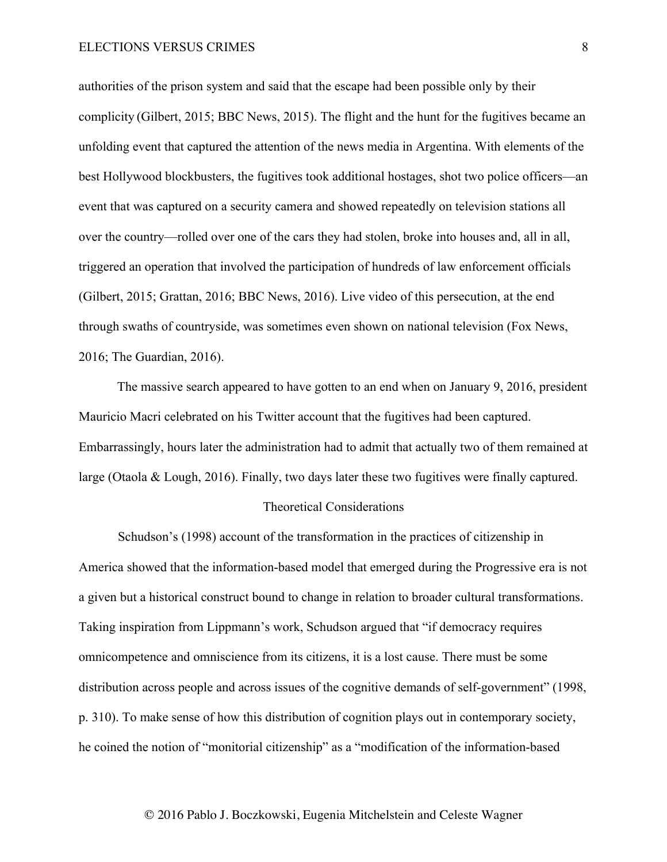authorities of the prison system and said that the escape had been possible only by their complicity (Gilbert, 2015; BBC News, 2015). The flight and the hunt for the fugitives became an unfolding event that captured the attention of the news media in Argentina. With elements of the best Hollywood blockbusters, the fugitives took additional hostages, shot two police officers—an event that was captured on a security camera and showed repeatedly on television stations all over the country—rolled over one of the cars they had stolen, broke into houses and, all in all, triggered an operation that involved the participation of hundreds of law enforcement officials (Gilbert, 2015; Grattan, 2016; BBC News, 2016). Live video of this persecution, at the end through swaths of countryside, was sometimes even shown on national television (Fox News, 2016; The Guardian, 2016).

The massive search appeared to have gotten to an end when on January 9, 2016, president Mauricio Macri celebrated on his Twitter account that the fugitives had been captured. Embarrassingly, hours later the administration had to admit that actually two of them remained at large (Otaola & Lough, 2016). Finally, two days later these two fugitives were finally captured.

## Theoretical Considerations

Schudson's (1998) account of the transformation in the practices of citizenship in America showed that the information-based model that emerged during the Progressive era is not a given but a historical construct bound to change in relation to broader cultural transformations. Taking inspiration from Lippmann's work, Schudson argued that "if democracy requires omnicompetence and omniscience from its citizens, it is a lost cause. There must be some distribution across people and across issues of the cognitive demands of self-government" (1998, p. 310). To make sense of how this distribution of cognition plays out in contemporary society, he coined the notion of "monitorial citizenship" as a "modification of the information-based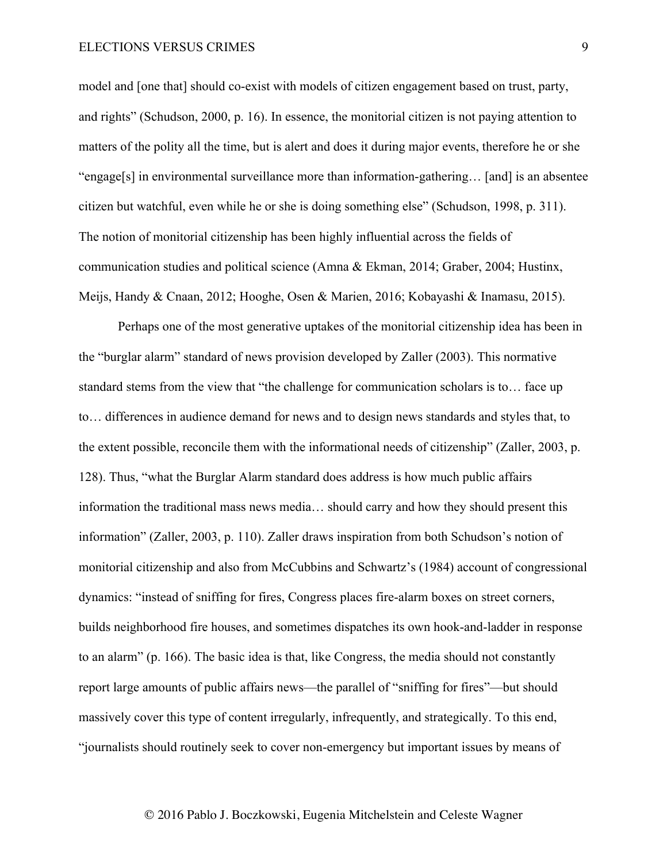model and [one that] should co-exist with models of citizen engagement based on trust, party, and rights" (Schudson, 2000, p. 16). In essence, the monitorial citizen is not paying attention to matters of the polity all the time, but is alert and does it during major events, therefore he or she "engage[s] in environmental surveillance more than information-gathering… [and] is an absentee citizen but watchful, even while he or she is doing something else" (Schudson, 1998, p. 311). The notion of monitorial citizenship has been highly influential across the fields of communication studies and political science (Amna & Ekman, 2014; Graber, 2004; Hustinx, Meijs, Handy & Cnaan, 2012; Hooghe, Osen & Marien, 2016; Kobayashi & Inamasu, 2015).

Perhaps one of the most generative uptakes of the monitorial citizenship idea has been in the "burglar alarm" standard of news provision developed by Zaller (2003). This normative standard stems from the view that "the challenge for communication scholars is to… face up to… differences in audience demand for news and to design news standards and styles that, to the extent possible, reconcile them with the informational needs of citizenship" (Zaller, 2003, p. 128). Thus, "what the Burglar Alarm standard does address is how much public affairs information the traditional mass news media… should carry and how they should present this information" (Zaller, 2003, p. 110). Zaller draws inspiration from both Schudson's notion of monitorial citizenship and also from McCubbins and Schwartz's (1984) account of congressional dynamics: "instead of sniffing for fires, Congress places fire-alarm boxes on street corners, builds neighborhood fire houses, and sometimes dispatches its own hook-and-ladder in response to an alarm" (p. 166). The basic idea is that, like Congress, the media should not constantly report large amounts of public affairs news—the parallel of "sniffing for fires"—but should massively cover this type of content irregularly, infrequently, and strategically. To this end, "journalists should routinely seek to cover non-emergency but important issues by means of

9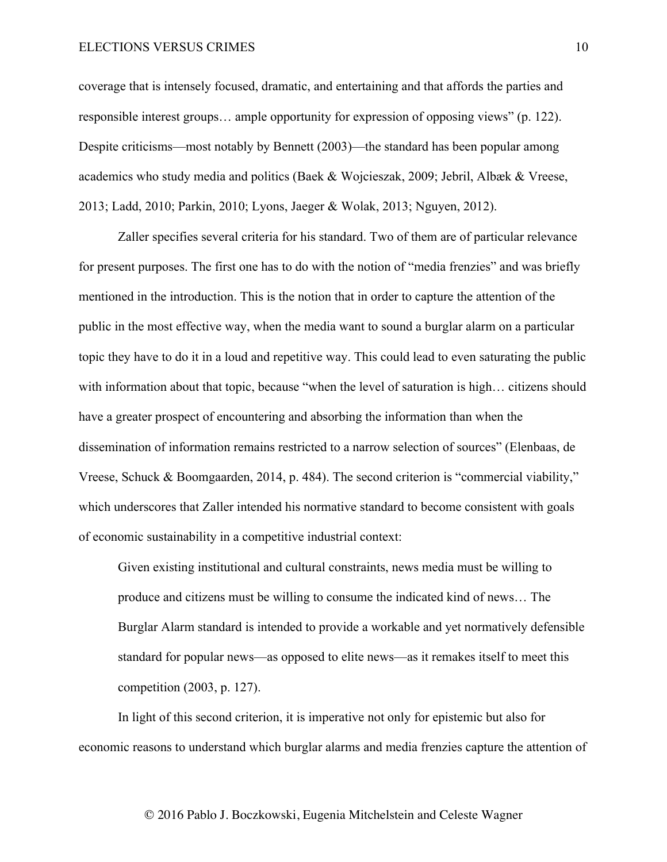coverage that is intensely focused, dramatic, and entertaining and that affords the parties and responsible interest groups… ample opportunity for expression of opposing views" (p. 122). Despite criticisms—most notably by Bennett (2003)—the standard has been popular among academics who study media and politics (Baek & Wojcieszak, 2009; Jebril, Albæk & Vreese, 2013; Ladd, 2010; Parkin, 2010; Lyons, Jaeger & Wolak, 2013; Nguyen, 2012).

Zaller specifies several criteria for his standard. Two of them are of particular relevance for present purposes. The first one has to do with the notion of "media frenzies" and was briefly mentioned in the introduction. This is the notion that in order to capture the attention of the public in the most effective way, when the media want to sound a burglar alarm on a particular topic they have to do it in a loud and repetitive way. This could lead to even saturating the public with information about that topic, because "when the level of saturation is high... citizens should have a greater prospect of encountering and absorbing the information than when the dissemination of information remains restricted to a narrow selection of sources" (Elenbaas, de Vreese, Schuck & Boomgaarden, 2014, p. 484). The second criterion is "commercial viability," which underscores that Zaller intended his normative standard to become consistent with goals of economic sustainability in a competitive industrial context:

Given existing institutional and cultural constraints, news media must be willing to produce and citizens must be willing to consume the indicated kind of news… The Burglar Alarm standard is intended to provide a workable and yet normatively defensible standard for popular news—as opposed to elite news—as it remakes itself to meet this competition (2003, p. 127).

In light of this second criterion, it is imperative not only for epistemic but also for economic reasons to understand which burglar alarms and media frenzies capture the attention of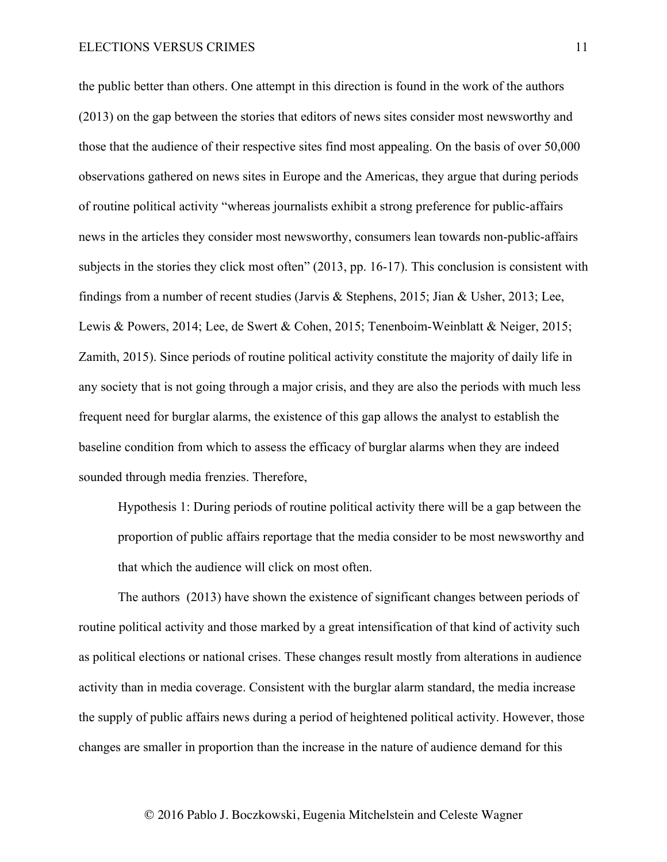the public better than others. One attempt in this direction is found in the work of the authors (2013) on the gap between the stories that editors of news sites consider most newsworthy and those that the audience of their respective sites find most appealing. On the basis of over 50,000 observations gathered on news sites in Europe and the Americas, they argue that during periods of routine political activity "whereas journalists exhibit a strong preference for public-affairs news in the articles they consider most newsworthy, consumers lean towards non-public-affairs subjects in the stories they click most often" (2013, pp. 16-17). This conclusion is consistent with findings from a number of recent studies (Jarvis & Stephens, 2015; Jian & Usher, 2013; Lee, Lewis & Powers, 2014; Lee, de Swert & Cohen, 2015; Tenenboim-Weinblatt & Neiger, 2015; Zamith, 2015). Since periods of routine political activity constitute the majority of daily life in any society that is not going through a major crisis, and they are also the periods with much less frequent need for burglar alarms, the existence of this gap allows the analyst to establish the baseline condition from which to assess the efficacy of burglar alarms when they are indeed sounded through media frenzies. Therefore,

Hypothesis 1: During periods of routine political activity there will be a gap between the proportion of public affairs reportage that the media consider to be most newsworthy and that which the audience will click on most often.

The authors (2013) have shown the existence of significant changes between periods of routine political activity and those marked by a great intensification of that kind of activity such as political elections or national crises. These changes result mostly from alterations in audience activity than in media coverage. Consistent with the burglar alarm standard, the media increase the supply of public affairs news during a period of heightened political activity. However, those changes are smaller in proportion than the increase in the nature of audience demand for this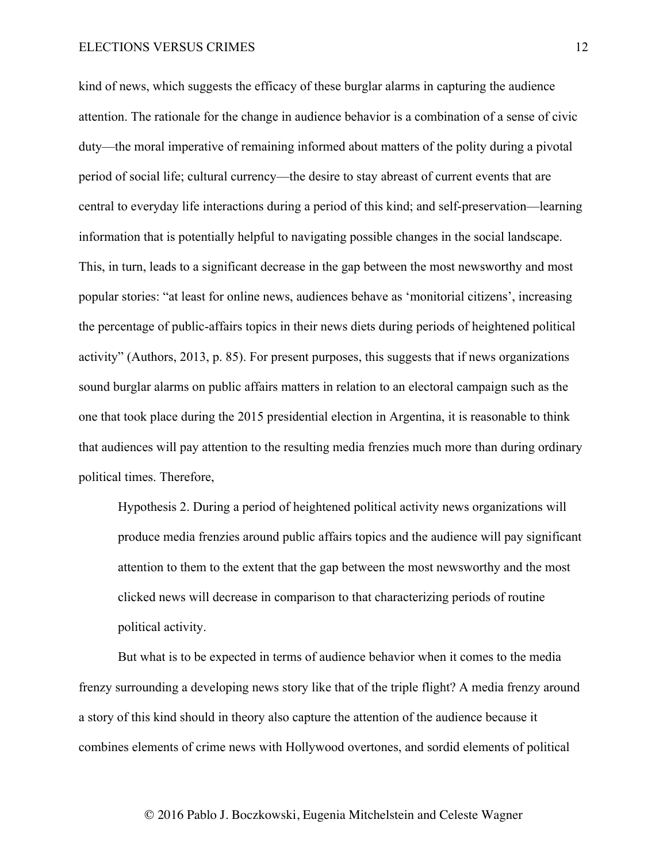kind of news, which suggests the efficacy of these burglar alarms in capturing the audience attention. The rationale for the change in audience behavior is a combination of a sense of civic duty—the moral imperative of remaining informed about matters of the polity during a pivotal period of social life; cultural currency—the desire to stay abreast of current events that are central to everyday life interactions during a period of this kind; and self-preservation—learning information that is potentially helpful to navigating possible changes in the social landscape. This, in turn, leads to a significant decrease in the gap between the most newsworthy and most popular stories: "at least for online news, audiences behave as 'monitorial citizens', increasing the percentage of public-affairs topics in their news diets during periods of heightened political activity" (Authors, 2013, p. 85). For present purposes, this suggests that if news organizations sound burglar alarms on public affairs matters in relation to an electoral campaign such as the one that took place during the 2015 presidential election in Argentina, it is reasonable to think that audiences will pay attention to the resulting media frenzies much more than during ordinary political times. Therefore,

Hypothesis 2. During a period of heightened political activity news organizations will produce media frenzies around public affairs topics and the audience will pay significant attention to them to the extent that the gap between the most newsworthy and the most clicked news will decrease in comparison to that characterizing periods of routine political activity.

But what is to be expected in terms of audience behavior when it comes to the media frenzy surrounding a developing news story like that of the triple flight? A media frenzy around a story of this kind should in theory also capture the attention of the audience because it combines elements of crime news with Hollywood overtones, and sordid elements of political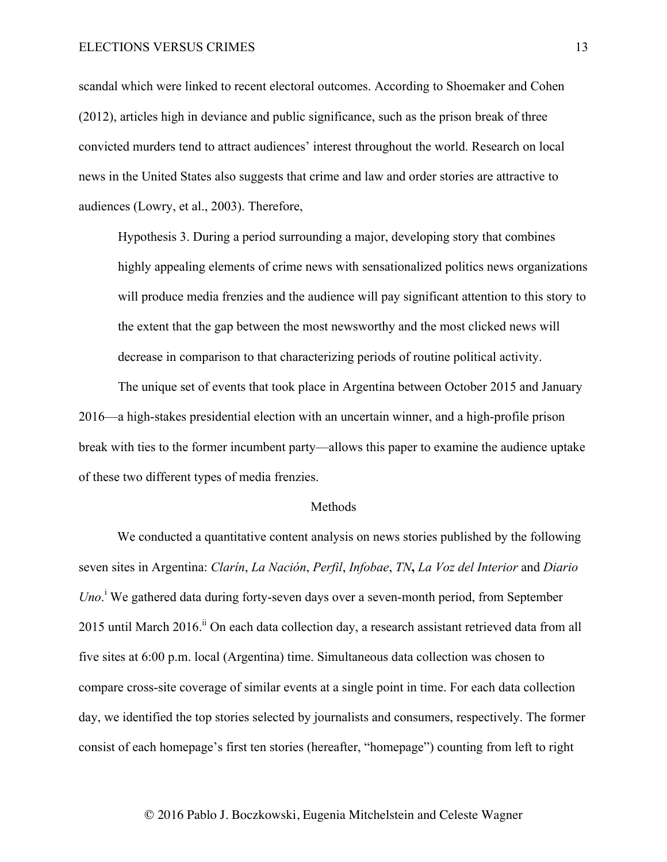scandal which were linked to recent electoral outcomes. According to Shoemaker and Cohen (2012), articles high in deviance and public significance, such as the prison break of three convicted murders tend to attract audiences' interest throughout the world. Research on local news in the United States also suggests that crime and law and order stories are attractive to audiences (Lowry, et al., 2003). Therefore,

Hypothesis 3. During a period surrounding a major, developing story that combines highly appealing elements of crime news with sensationalized politics news organizations will produce media frenzies and the audience will pay significant attention to this story to the extent that the gap between the most newsworthy and the most clicked news will decrease in comparison to that characterizing periods of routine political activity.

The unique set of events that took place in Argentina between October 2015 and January 2016—a high-stakes presidential election with an uncertain winner, and a high-profile prison break with ties to the former incumbent party—allows this paper to examine the audience uptake of these two different types of media frenzies.

## **Methods**

We conducted a quantitative content analysis on news stories published by the following seven sites in Argentina: *Clarín*, *La Nación*, *Perfil*, *Infobae*, *TN***,** *La Voz del Interior* and *Diario*  Uno.<sup>i</sup> We gathered data during forty-seven days over a seven-month period, from September 2015 until March 2016.<sup>ii</sup> On each data collection day, a research assistant retrieved data from all five sites at 6:00 p.m. local (Argentina) time. Simultaneous data collection was chosen to compare cross-site coverage of similar events at a single point in time. For each data collection day, we identified the top stories selected by journalists and consumers, respectively. The former consist of each homepage's first ten stories (hereafter, "homepage") counting from left to right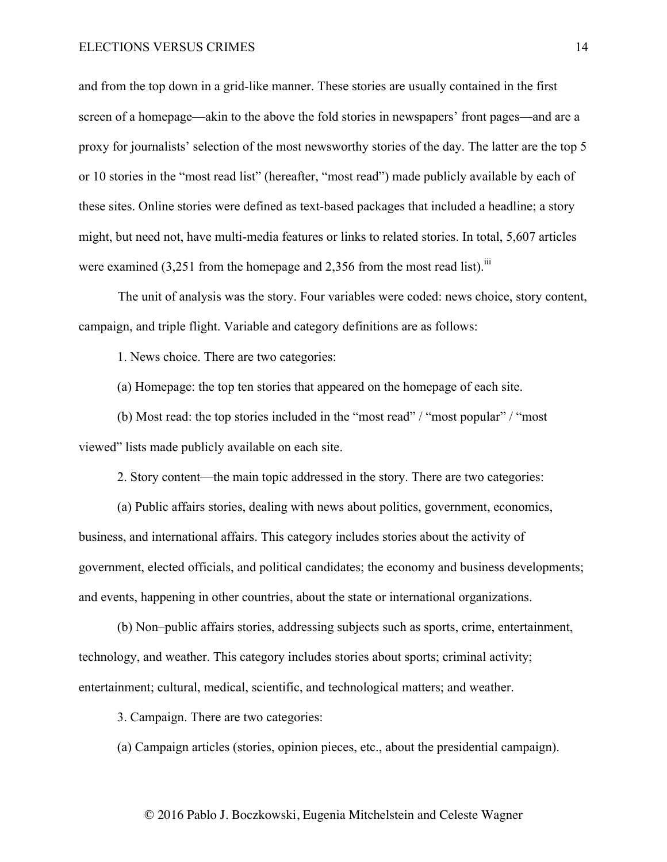and from the top down in a grid-like manner. These stories are usually contained in the first screen of a homepage—akin to the above the fold stories in newspapers' front pages—and are a proxy for journalists' selection of the most newsworthy stories of the day. The latter are the top 5 or 10 stories in the "most read list" (hereafter, "most read") made publicly available by each of these sites. Online stories were defined as text-based packages that included a headline; a story might, but need not, have multi-media features or links to related stories. In total, 5,607 articles were examined  $(3,251$  from the homepage and 2,356 from the most read list).<sup>iii</sup>

The unit of analysis was the story. Four variables were coded: news choice, story content, campaign, and triple flight. Variable and category definitions are as follows:

1. News choice. There are two categories:

(a) Homepage: the top ten stories that appeared on the homepage of each site.

(b) Most read: the top stories included in the "most read" / "most popular" / "most viewed" lists made publicly available on each site.

2. Story content—the main topic addressed in the story. There are two categories:

(a) Public affairs stories, dealing with news about politics, government, economics, business, and international affairs. This category includes stories about the activity of government, elected officials, and political candidates; the economy and business developments; and events, happening in other countries, about the state or international organizations.

(b) Non–public affairs stories, addressing subjects such as sports, crime, entertainment, technology, and weather. This category includes stories about sports; criminal activity; entertainment; cultural, medical, scientific, and technological matters; and weather.

3. Campaign. There are two categories:

(a) Campaign articles (stories, opinion pieces, etc., about the presidential campaign).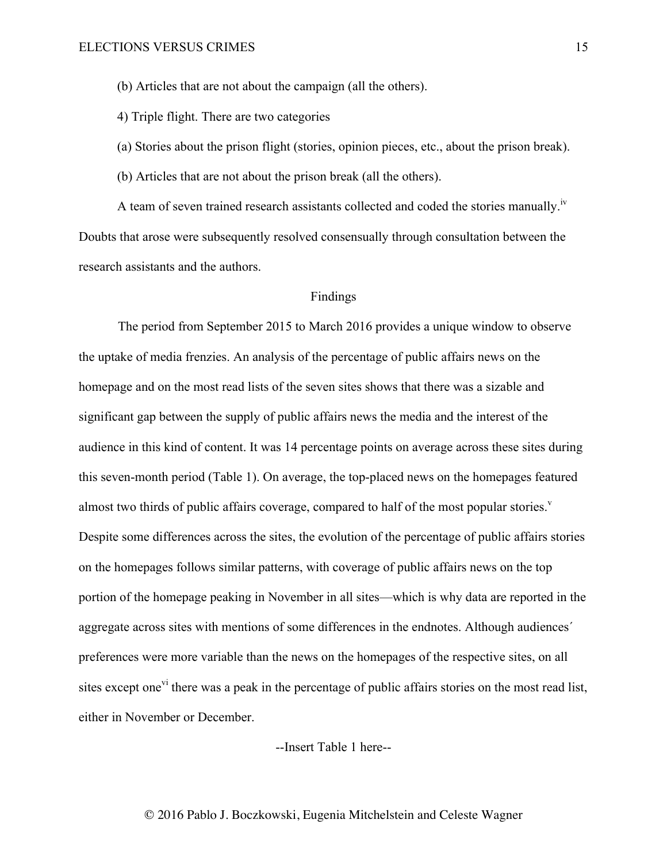(b) Articles that are not about the campaign (all the others).

4) Triple flight. There are two categories

(a) Stories about the prison flight (stories, opinion pieces, etc., about the prison break).

(b) Articles that are not about the prison break (all the others).

A team of seven trained research assistants collected and coded the stories manually.<sup>iv</sup> Doubts that arose were subsequently resolved consensually through consultation between the research assistants and the authors.

## Findings

The period from September 2015 to March 2016 provides a unique window to observe the uptake of media frenzies. An analysis of the percentage of public affairs news on the homepage and on the most read lists of the seven sites shows that there was a sizable and significant gap between the supply of public affairs news the media and the interest of the audience in this kind of content. It was 14 percentage points on average across these sites during this seven-month period (Table 1). On average, the top-placed news on the homepages featured almost two thirds of public affairs coverage, compared to half of the most popular stories.<sup> $v$ </sup> Despite some differences across the sites, the evolution of the percentage of public affairs stories on the homepages follows similar patterns, with coverage of public affairs news on the top portion of the homepage peaking in November in all sites—which is why data are reported in the aggregate across sites with mentions of some differences in the endnotes. Although audiences´ preferences were more variable than the news on the homepages of the respective sites, on all sites except one<sup>vi</sup> there was a peak in the percentage of public affairs stories on the most read list, either in November or December.

--Insert Table 1 here--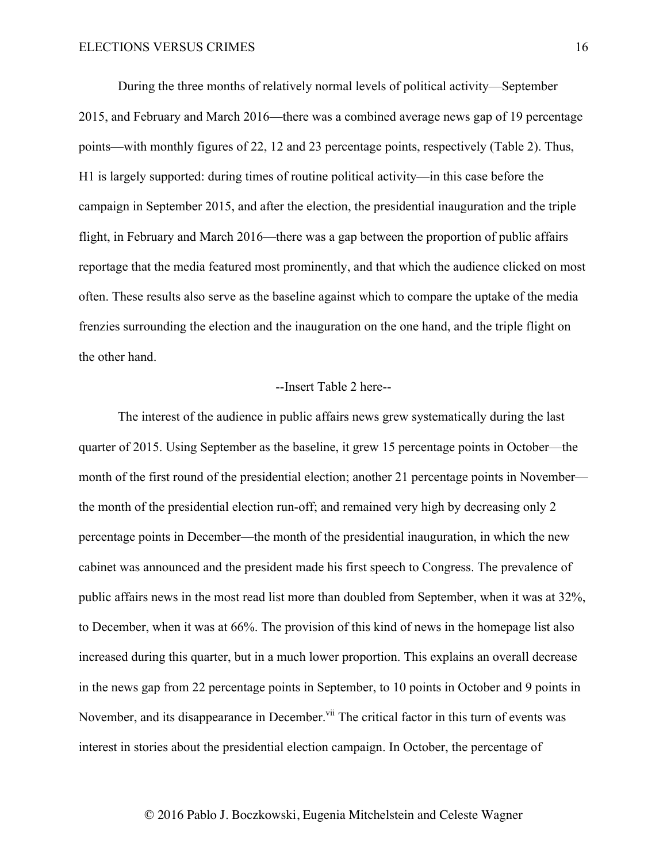During the three months of relatively normal levels of political activity—September 2015, and February and March 2016—there was a combined average news gap of 19 percentage points—with monthly figures of 22, 12 and 23 percentage points, respectively (Table 2). Thus, H1 is largely supported: during times of routine political activity—in this case before the campaign in September 2015, and after the election, the presidential inauguration and the triple flight, in February and March 2016—there was a gap between the proportion of public affairs reportage that the media featured most prominently, and that which the audience clicked on most often. These results also serve as the baseline against which to compare the uptake of the media frenzies surrounding the election and the inauguration on the one hand, and the triple flight on the other hand.

### --Insert Table 2 here--

The interest of the audience in public affairs news grew systematically during the last quarter of 2015. Using September as the baseline, it grew 15 percentage points in October—the month of the first round of the presidential election; another 21 percentage points in November the month of the presidential election run-off; and remained very high by decreasing only 2 percentage points in December—the month of the presidential inauguration, in which the new cabinet was announced and the president made his first speech to Congress. The prevalence of public affairs news in the most read list more than doubled from September, when it was at 32%, to December, when it was at 66%. The provision of this kind of news in the homepage list also increased during this quarter, but in a much lower proportion. This explains an overall decrease in the news gap from 22 percentage points in September, to 10 points in October and 9 points in November, and its disappearance in December.<sup>vii</sup> The critical factor in this turn of events was interest in stories about the presidential election campaign. In October, the percentage of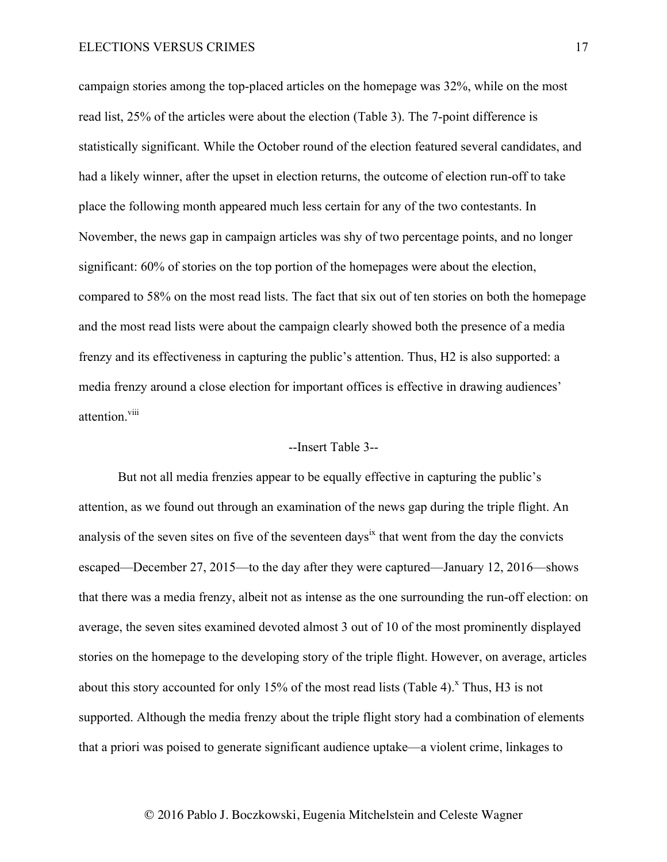campaign stories among the top-placed articles on the homepage was 32%, while on the most read list, 25% of the articles were about the election (Table 3). The 7-point difference is statistically significant. While the October round of the election featured several candidates, and had a likely winner, after the upset in election returns, the outcome of election run-off to take place the following month appeared much less certain for any of the two contestants. In November, the news gap in campaign articles was shy of two percentage points, and no longer significant: 60% of stories on the top portion of the homepages were about the election, compared to 58% on the most read lists. The fact that six out of ten stories on both the homepage and the most read lists were about the campaign clearly showed both the presence of a media frenzy and its effectiveness in capturing the public's attention. Thus, H2 is also supported: a media frenzy around a close election for important offices is effective in drawing audiences' attention.<sup>viii</sup>

## --Insert Table 3--

But not all media frenzies appear to be equally effective in capturing the public's attention, as we found out through an examination of the news gap during the triple flight. An analysis of the seven sites on five of the seventeen days<sup>ix</sup> that went from the day the convicts escaped—December 27, 2015—to the day after they were captured—January 12, 2016—shows that there was a media frenzy, albeit not as intense as the one surrounding the run-off election: on average, the seven sites examined devoted almost 3 out of 10 of the most prominently displayed stories on the homepage to the developing story of the triple flight. However, on average, articles about this story accounted for only 15% of the most read lists (Table 4).<sup>x</sup> Thus, H3 is not supported. Although the media frenzy about the triple flight story had a combination of elements that a priori was poised to generate significant audience uptake—a violent crime, linkages to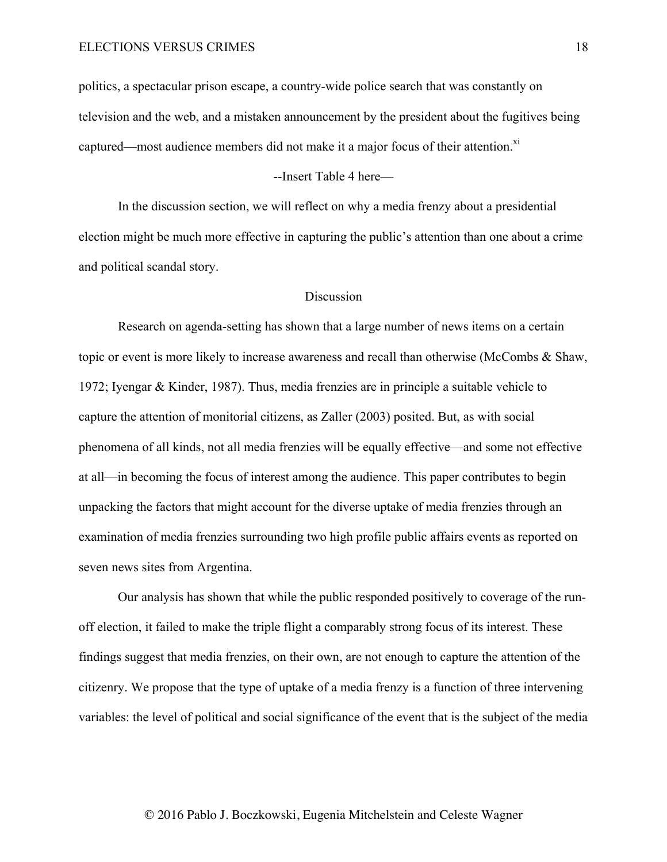politics, a spectacular prison escape, a country-wide police search that was constantly on television and the web, and a mistaken announcement by the president about the fugitives being captured—most audience members did not make it a major focus of their attention.<sup>xi</sup>

--Insert Table 4 here—

In the discussion section, we will reflect on why a media frenzy about a presidential election might be much more effective in capturing the public's attention than one about a crime and political scandal story.

## **Discussion**

Research on agenda-setting has shown that a large number of news items on a certain topic or event is more likely to increase awareness and recall than otherwise (McCombs & Shaw, 1972; Iyengar & Kinder, 1987). Thus, media frenzies are in principle a suitable vehicle to capture the attention of monitorial citizens, as Zaller (2003) posited. But, as with social phenomena of all kinds, not all media frenzies will be equally effective—and some not effective at all—in becoming the focus of interest among the audience. This paper contributes to begin unpacking the factors that might account for the diverse uptake of media frenzies through an examination of media frenzies surrounding two high profile public affairs events as reported on seven news sites from Argentina.

Our analysis has shown that while the public responded positively to coverage of the runoff election, it failed to make the triple flight a comparably strong focus of its interest. These findings suggest that media frenzies, on their own, are not enough to capture the attention of the citizenry. We propose that the type of uptake of a media frenzy is a function of three intervening variables: the level of political and social significance of the event that is the subject of the media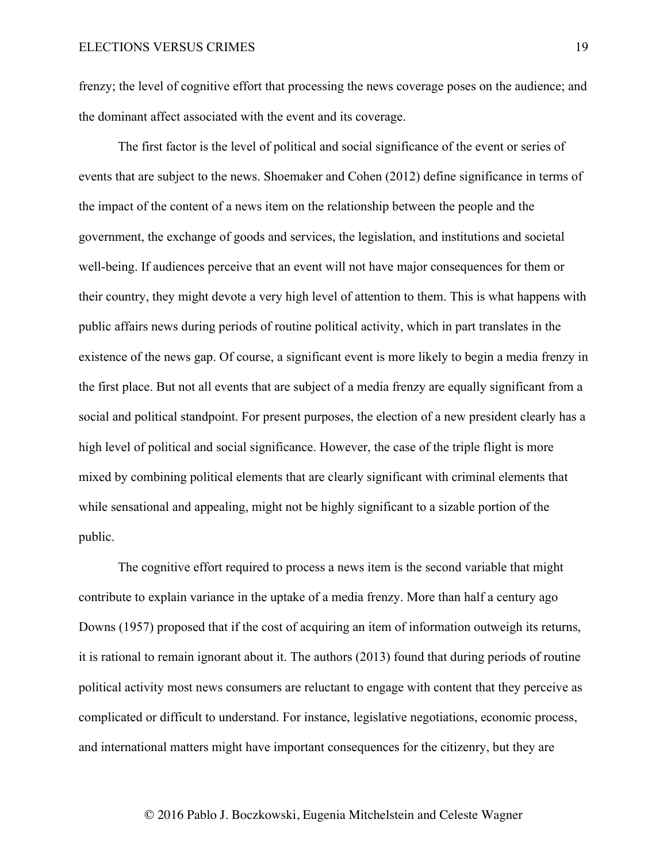frenzy; the level of cognitive effort that processing the news coverage poses on the audience; and the dominant affect associated with the event and its coverage.

The first factor is the level of political and social significance of the event or series of events that are subject to the news. Shoemaker and Cohen (2012) define significance in terms of the impact of the content of a news item on the relationship between the people and the government, the exchange of goods and services, the legislation, and institutions and societal well-being. If audiences perceive that an event will not have major consequences for them or their country, they might devote a very high level of attention to them. This is what happens with public affairs news during periods of routine political activity, which in part translates in the existence of the news gap. Of course, a significant event is more likely to begin a media frenzy in the first place. But not all events that are subject of a media frenzy are equally significant from a social and political standpoint. For present purposes, the election of a new president clearly has a high level of political and social significance. However, the case of the triple flight is more mixed by combining political elements that are clearly significant with criminal elements that while sensational and appealing, might not be highly significant to a sizable portion of the public.

The cognitive effort required to process a news item is the second variable that might contribute to explain variance in the uptake of a media frenzy. More than half a century ago Downs (1957) proposed that if the cost of acquiring an item of information outweigh its returns, it is rational to remain ignorant about it. The authors (2013) found that during periods of routine political activity most news consumers are reluctant to engage with content that they perceive as complicated or difficult to understand. For instance, legislative negotiations, economic process, and international matters might have important consequences for the citizenry, but they are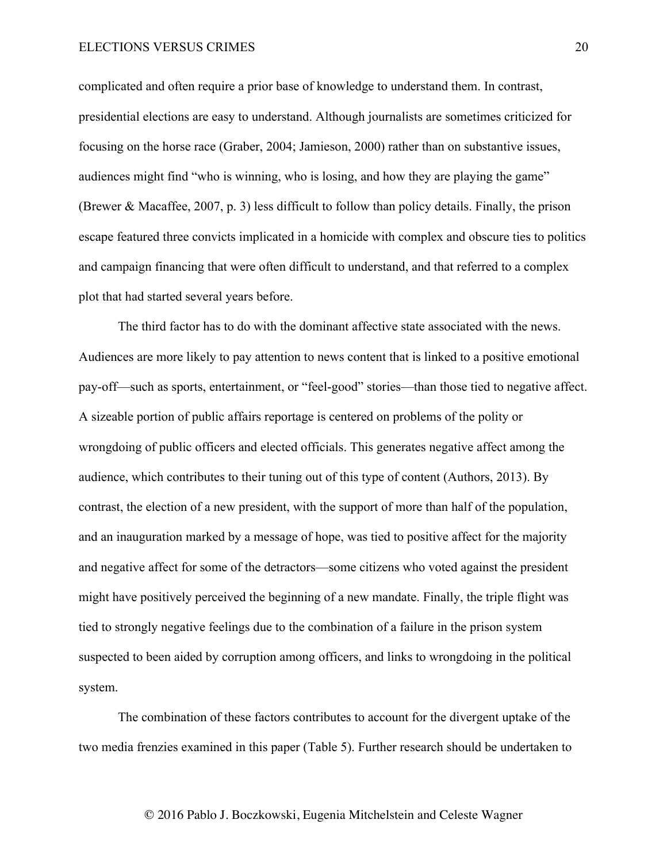complicated and often require a prior base of knowledge to understand them. In contrast, presidential elections are easy to understand. Although journalists are sometimes criticized for focusing on the horse race (Graber, 2004; Jamieson, 2000) rather than on substantive issues, audiences might find "who is winning, who is losing, and how they are playing the game" (Brewer & Macaffee, 2007, p. 3) less difficult to follow than policy details. Finally, the prison escape featured three convicts implicated in a homicide with complex and obscure ties to politics and campaign financing that were often difficult to understand, and that referred to a complex plot that had started several years before.

The third factor has to do with the dominant affective state associated with the news. Audiences are more likely to pay attention to news content that is linked to a positive emotional pay-off—such as sports, entertainment, or "feel-good" stories—than those tied to negative affect. A sizeable portion of public affairs reportage is centered on problems of the polity or wrongdoing of public officers and elected officials. This generates negative affect among the audience, which contributes to their tuning out of this type of content (Authors, 2013). By contrast, the election of a new president, with the support of more than half of the population, and an inauguration marked by a message of hope, was tied to positive affect for the majority and negative affect for some of the detractors—some citizens who voted against the president might have positively perceived the beginning of a new mandate. Finally, the triple flight was tied to strongly negative feelings due to the combination of a failure in the prison system suspected to been aided by corruption among officers, and links to wrongdoing in the political system.

The combination of these factors contributes to account for the divergent uptake of the two media frenzies examined in this paper (Table 5). Further research should be undertaken to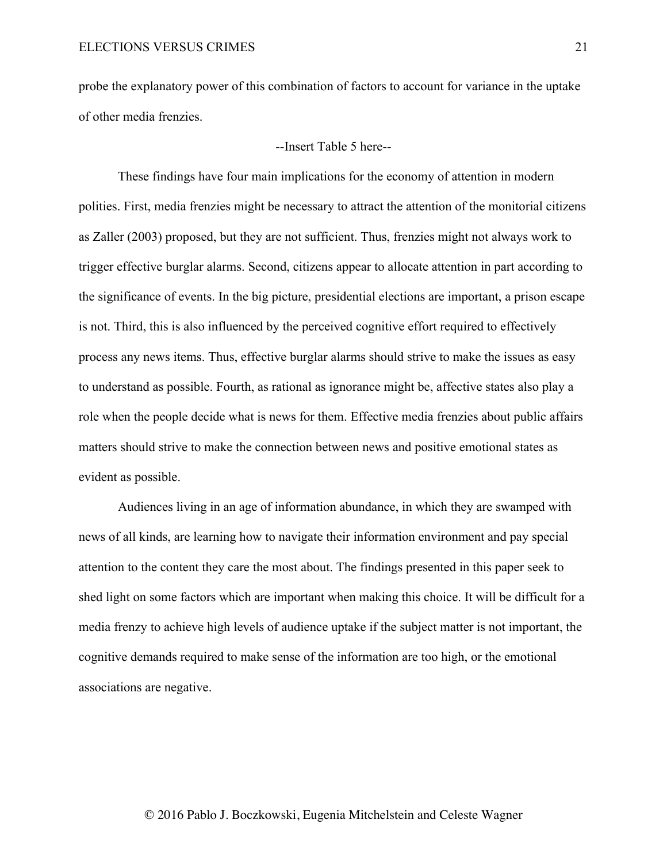probe the explanatory power of this combination of factors to account for variance in the uptake of other media frenzies.

## --Insert Table 5 here--

These findings have four main implications for the economy of attention in modern polities. First, media frenzies might be necessary to attract the attention of the monitorial citizens as Zaller (2003) proposed, but they are not sufficient. Thus, frenzies might not always work to trigger effective burglar alarms. Second, citizens appear to allocate attention in part according to the significance of events. In the big picture, presidential elections are important, a prison escape is not. Third, this is also influenced by the perceived cognitive effort required to effectively process any news items. Thus, effective burglar alarms should strive to make the issues as easy to understand as possible. Fourth, as rational as ignorance might be, affective states also play a role when the people decide what is news for them. Effective media frenzies about public affairs matters should strive to make the connection between news and positive emotional states as evident as possible.

Audiences living in an age of information abundance, in which they are swamped with news of all kinds, are learning how to navigate their information environment and pay special attention to the content they care the most about. The findings presented in this paper seek to shed light on some factors which are important when making this choice. It will be difficult for a media frenzy to achieve high levels of audience uptake if the subject matter is not important, the cognitive demands required to make sense of the information are too high, or the emotional associations are negative.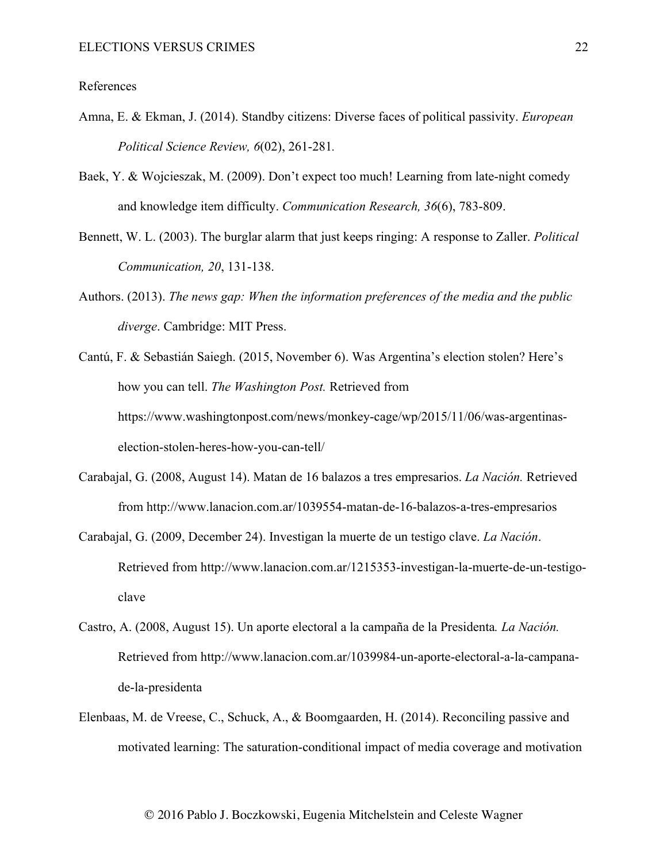## References

- Amna, E. & Ekman, J. (2014). Standby citizens: Diverse faces of political passivity. *European Political Science Review, 6*(02), 261-281*.*
- Baek, Y. & Wojcieszak, M. (2009). Don't expect too much! Learning from late-night comedy and knowledge item difficulty. *Communication Research, 36*(6), 783-809.
- Bennett, W. L. (2003). The burglar alarm that just keeps ringing: A response to Zaller. *Political Communication, 20*, 131-138.
- Authors. (2013). *The news gap: When the information preferences of the media and the public diverge*. Cambridge: MIT Press.
- Cantú, F. & Sebastián Saiegh. (2015, November 6). Was Argentina's election stolen? Here's how you can tell. *The Washington Post.* Retrieved from https://www.washingtonpost.com/news/monkey-cage/wp/2015/11/06/was-argentinaselection-stolen-heres-how-you-can-tell/
- Carabajal, G. (2008, August 14). Matan de 16 balazos a tres empresarios. *La Nación.* Retrieved from http://www.lanacion.com.ar/1039554-matan-de-16-balazos-a-tres-empresarios
- Carabajal, G. (2009, December 24). Investigan la muerte de un testigo clave. *La Nación*. Retrieved from http://www.lanacion.com.ar/1215353-investigan-la-muerte-de-un-testigoclave
- Castro, A. (2008, August 15). Un aporte electoral a la campaña de la Presidenta*. La Nación.* Retrieved from http://www.lanacion.com.ar/1039984-un-aporte-electoral-a-la-campanade-la-presidenta
- Elenbaas, M. de Vreese, C., Schuck, A., & Boomgaarden, H. (2014). Reconciling passive and motivated learning: The saturation-conditional impact of media coverage and motivation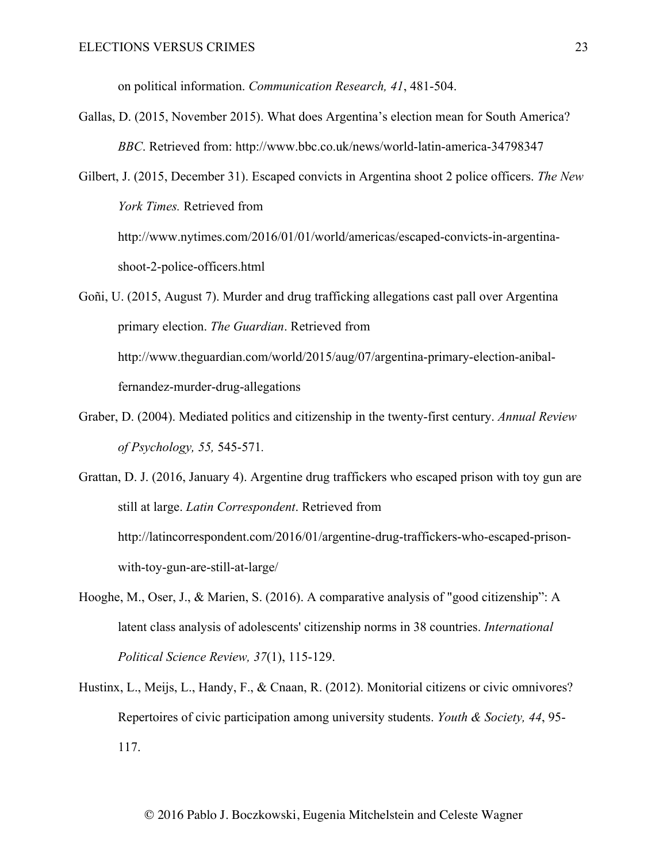on political information. *Communication Research, 41*, 481-504.

Gallas, D. (2015, November 2015). What does Argentina's election mean for South America? *BBC*. Retrieved from: http://www.bbc.co.uk/news/world-latin-america-34798347

Gilbert, J. (2015, December 31). Escaped convicts in Argentina shoot 2 police officers. *The New York Times.* Retrieved from http://www.nytimes.com/2016/01/01/world/americas/escaped-convicts-in-argentinashoot-2-police-officers.html

Goñi, U. (2015, August 7). Murder and drug trafficking allegations cast pall over Argentina primary election. *The Guardian*. Retrieved from http://www.theguardian.com/world/2015/aug/07/argentina-primary-election-anibalfernandez-murder-drug-allegations

Graber, D. (2004). Mediated politics and citizenship in the twenty-first century. *Annual Review of Psychology, 55,* 545-571*.*

Grattan, D. J. (2016, January 4). Argentine drug traffickers who escaped prison with toy gun are still at large. *Latin Correspondent*. Retrieved from http://latincorrespondent.com/2016/01/argentine-drug-traffickers-who-escaped-prisonwith-toy-gun-are-still-at-large/

- Hooghe, M., Oser, J., & Marien, S. (2016). A comparative analysis of "good citizenship": A latent class analysis of adolescents' citizenship norms in 38 countries. *International Political Science Review, 37*(1), 115-129.
- Hustinx, L., Meijs, L., Handy, F., & Cnaan, R. (2012). Monitorial citizens or civic omnivores? Repertoires of civic participation among university students. *Youth & Society, 44*, 95- 117.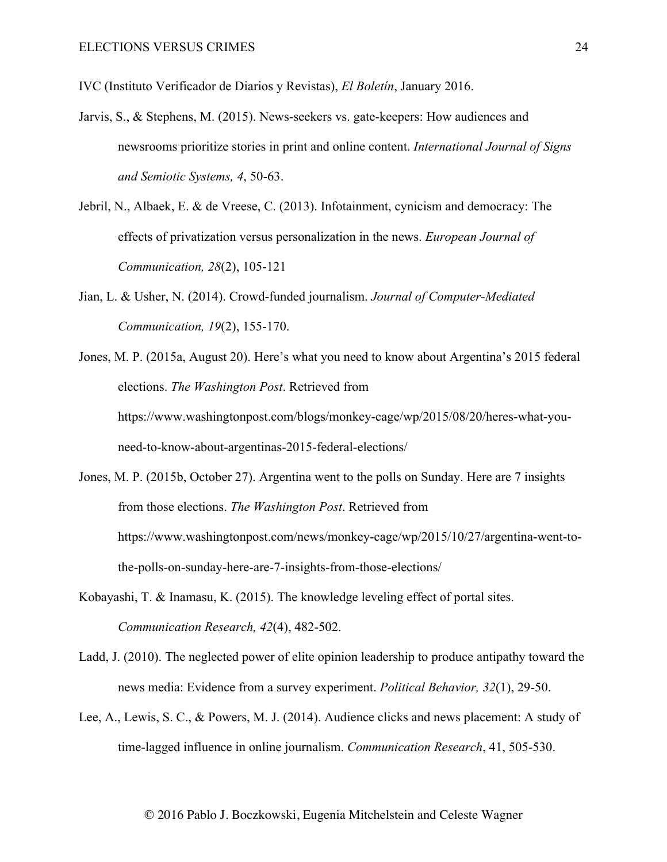IVC (Instituto Verificador de Diarios y Revistas), *El Boletín*, January 2016.

- Jarvis, S., & Stephens, M. (2015). News-seekers vs. gate-keepers: How audiences and newsrooms prioritize stories in print and online content. *International Journal of Signs and Semiotic Systems, 4*, 50-63.
- Jebril, N., Albaek, E. & de Vreese, C. (2013). Infotainment, cynicism and democracy: The effects of privatization versus personalization in the news. *European Journal of Communication, 28*(2), 105-121
- Jian, L. & Usher, N. (2014). Crowd-funded journalism. *Journal of Computer-Mediated Communication, 19*(2), 155-170.
- Jones, M. P. (2015a, August 20). Here's what you need to know about Argentina's 2015 federal elections. *The Washington Post*. Retrieved from https://www.washingtonpost.com/blogs/monkey-cage/wp/2015/08/20/heres-what-youneed-to-know-about-argentinas-2015-federal-elections/
- Jones, M. P. (2015b, October 27). Argentina went to the polls on Sunday. Here are 7 insights from those elections. *The Washington Post*. Retrieved from https://www.washingtonpost.com/news/monkey-cage/wp/2015/10/27/argentina-went-tothe-polls-on-sunday-here-are-7-insights-from-those-elections/
- Kobayashi, T. & Inamasu, K. (2015). The knowledge leveling effect of portal sites. *Communication Research, 42*(4), 482-502.
- Ladd, J. (2010). The neglected power of elite opinion leadership to produce antipathy toward the news media: Evidence from a survey experiment. *Political Behavior, 32*(1), 29-50.
- Lee, A., Lewis, S. C., & Powers, M. J. (2014). Audience clicks and news placement: A study of time-lagged influence in online journalism. *Communication Research*, 41, 505-530.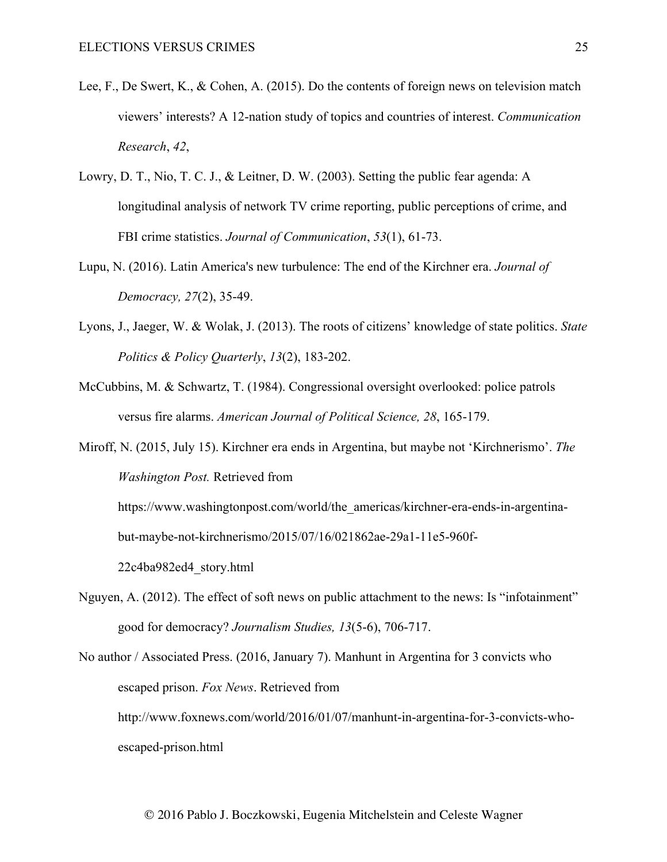- Lee, F., De Swert, K., & Cohen, A. (2015). Do the contents of foreign news on television match viewers' interests? A 12-nation study of topics and countries of interest. *Communication Research*, *42*,
- Lowry, D. T., Nio, T. C. J., & Leitner, D. W. (2003). Setting the public fear agenda: A longitudinal analysis of network TV crime reporting, public perceptions of crime, and FBI crime statistics. *Journal of Communication*, *53*(1), 61-73.
- Lupu, N. (2016). Latin America's new turbulence: The end of the Kirchner era. *Journal of Democracy, 27*(2), 35-49.
- Lyons, J., Jaeger, W. & Wolak, J. (2013). The roots of citizens' knowledge of state politics. *State Politics & Policy Quarterly*, *13*(2), 183-202.
- McCubbins, M. & Schwartz, T. (1984). Congressional oversight overlooked: police patrols versus fire alarms. *American Journal of Political Science, 28*, 165-179.

Miroff, N. (2015, July 15). Kirchner era ends in Argentina, but maybe not 'Kirchnerismo'. *The Washington Post.* Retrieved from https://www.washingtonpost.com/world/the\_americas/kirchner-era-ends-in-argentinabut-maybe-not-kirchnerismo/2015/07/16/021862ae-29a1-11e5-960f-22c4ba982ed4\_story.html

Nguyen, A. (2012). The effect of soft news on public attachment to the news: Is "infotainment" good for democracy? *Journalism Studies, 13*(5-6), 706-717.

No author / Associated Press. (2016, January 7). Manhunt in Argentina for 3 convicts who escaped prison. *Fox News*. Retrieved from http://www.foxnews.com/world/2016/01/07/manhunt-in-argentina-for-3-convicts-whoescaped-prison.html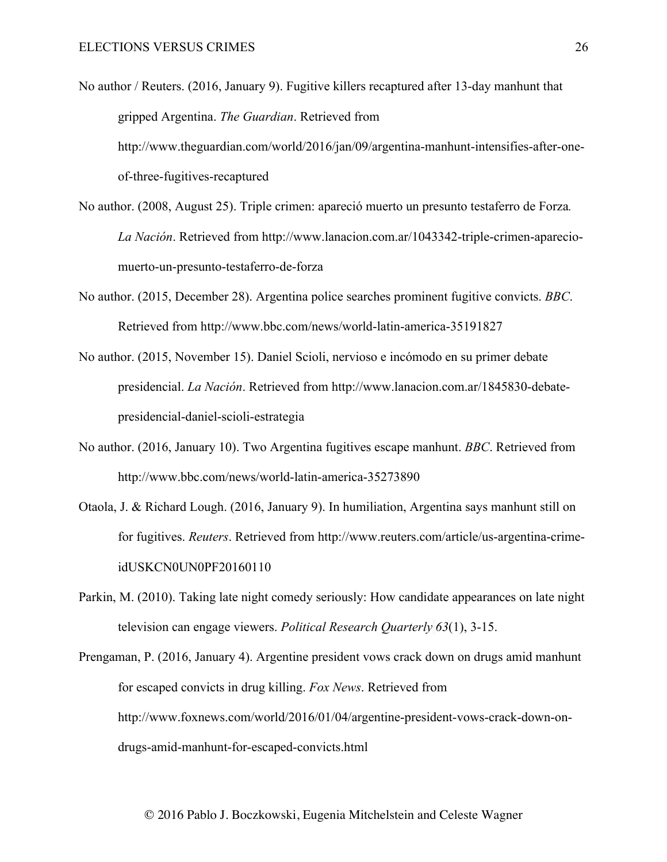No author / Reuters. (2016, January 9). Fugitive killers recaptured after 13-day manhunt that gripped Argentina. *The Guardian*. Retrieved from http://www.theguardian.com/world/2016/jan/09/argentina-manhunt-intensifies-after-oneof-three-fugitives-recaptured

- No author. (2008, August 25). Triple crimen: apareció muerto un presunto testaferro de Forza*. La Nación*. Retrieved from http://www.lanacion.com.ar/1043342-triple-crimen-apareciomuerto-un-presunto-testaferro-de-forza
- No author. (2015, December 28). Argentina police searches prominent fugitive convicts. *BBC*. Retrieved from http://www.bbc.com/news/world-latin-america-35191827
- No author. (2015, November 15). Daniel Scioli, nervioso e incómodo en su primer debate presidencial. *La Nación*. Retrieved from http://www.lanacion.com.ar/1845830-debatepresidencial-daniel-scioli-estrategia
- No author. (2016, January 10). Two Argentina fugitives escape manhunt. *BBC*. Retrieved from http://www.bbc.com/news/world-latin-america-35273890
- Otaola, J. & Richard Lough. (2016, January 9). In humiliation, Argentina says manhunt still on for fugitives. *Reuters*. Retrieved from http://www.reuters.com/article/us-argentina-crimeidUSKCN0UN0PF20160110
- Parkin, M. (2010). Taking late night comedy seriously: How candidate appearances on late night television can engage viewers. *Political Research Quarterly 63*(1), 3-15.

Prengaman, P. (2016, January 4). Argentine president vows crack down on drugs amid manhunt for escaped convicts in drug killing. *Fox News*. Retrieved from http://www.foxnews.com/world/2016/01/04/argentine-president-vows-crack-down-ondrugs-amid-manhunt-for-escaped-convicts.html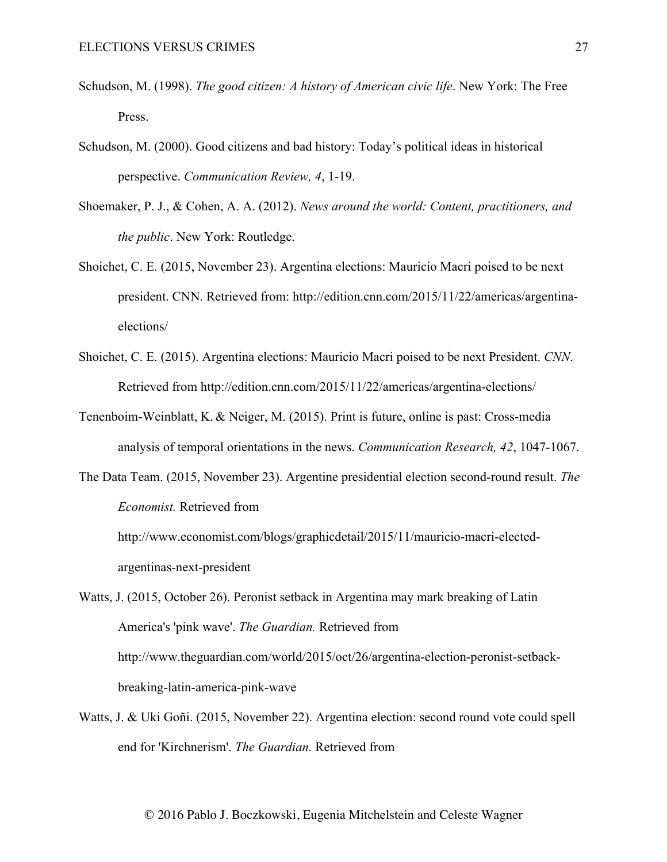- Schudson, M. (1998). *The good citizen: A history of American civic life*. New York: The Free Press.
- Schudson, M. (2000). Good citizens and bad history: Today's political ideas in historical perspective. *Communication Review, 4*, 1-19.
- Shoemaker, P. J., & Cohen, A. A. (2012). *News around the world: Content, practitioners, and the public*. New York: Routledge.
- Shoichet, C. E. (2015, November 23). Argentina elections: Mauricio Macri poised to be next president. CNN. Retrieved from: http://edition.cnn.com/2015/11/22/americas/argentinaelections/
- Shoichet, C. E. (2015). Argentina elections: Mauricio Macri poised to be next President. *CNN*. Retrieved from http://edition.cnn.com/2015/11/22/americas/argentina-elections/
- Tenenboim-Weinblatt, K. & Neiger, M. (2015). Print is future, online is past: Cross-media analysis of temporal orientations in the news. *Communication Research, 42*, 1047-1067.
- The Data Team. (2015, November 23). Argentine presidential election second-round result. *The Economist.* Retrieved from

http://www.economist.com/blogs/graphicdetail/2015/11/mauricio-macri-electedargentinas-next-president

Watts, J. (2015, October 26). Peronist setback in Argentina may mark breaking of Latin America's 'pink wave'. *The Guardian.* Retrieved from http://www.theguardian.com/world/2015/oct/26/argentina-election-peronist-setbackbreaking-latin-america-pink-wave

Watts, J. & Uki Goñi. (2015, November 22). Argentina election: second round vote could spell end for 'Kirchnerism'. *The Guardian.* Retrieved from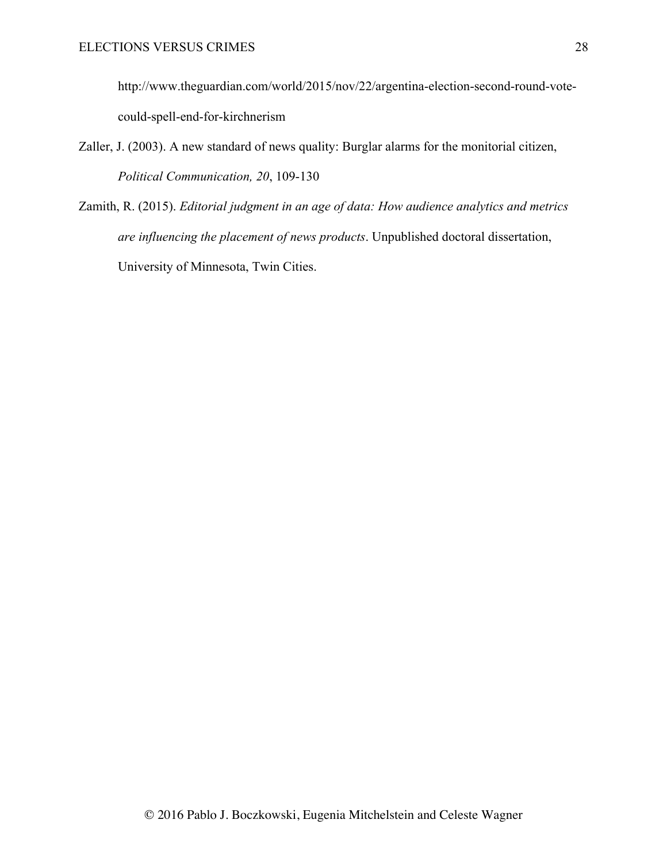http://www.theguardian.com/world/2015/nov/22/argentina-election-second-round-votecould-spell-end-for-kirchnerism

- Zaller, J. (2003). A new standard of news quality: Burglar alarms for the monitorial citizen, *Political Communication, 20*, 109-130
- Zamith, R. (2015). *Editorial judgment in an age of data: How audience analytics and metrics are influencing the placement of news products*. Unpublished doctoral dissertation, University of Minnesota, Twin Cities.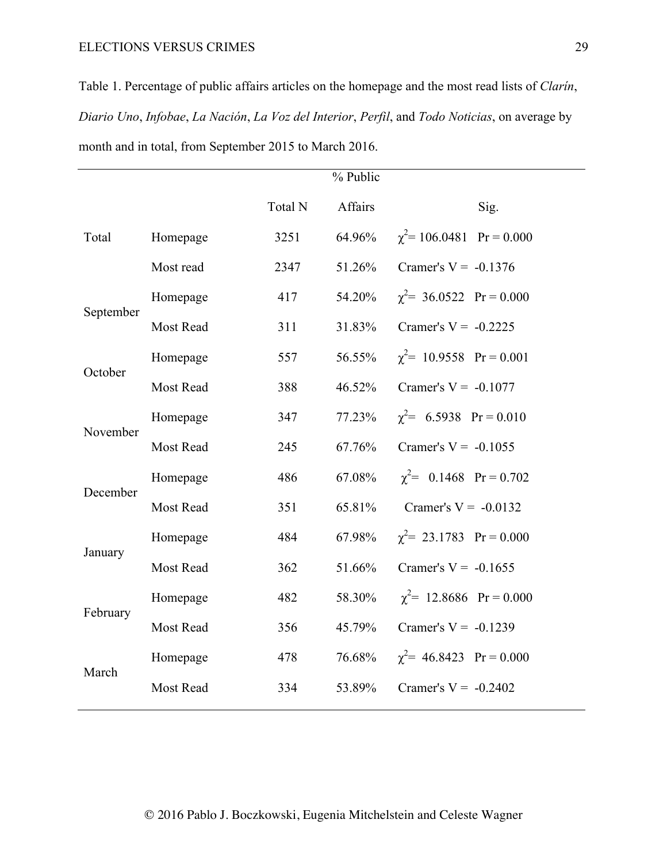Table 1. Percentage of public affairs articles on the homepage and the most read lists of *Clarín*, *Diario Uno*, *Infobae*, *La Nación*, *La Voz del Interior*, *Perfil*, and *Todo Noticias*, on average by month and in total, from September 2015 to March 2016.

|           |           |         | % Public |                                |
|-----------|-----------|---------|----------|--------------------------------|
|           |           | Total N | Affairs  | Sig.                           |
| Total     | Homepage  | 3251    | 64.96%   | $\chi^2$ = 106.0481 Pr = 0.000 |
|           | Most read | 2347    | 51.26%   | Cramer's $V = -0.1376$         |
| September | Homepage  | 417     | 54.20%   | $\chi^2$ = 36.0522 Pr = 0.000  |
|           | Most Read | 311     | 31.83%   | Cramer's $V = -0.2225$         |
| October   | Homepage  | 557     | 56.55%   | $\chi^2$ = 10.9558 Pr = 0.001  |
|           | Most Read | 388     | 46.52%   | Cramer's $V = -0.1077$         |
| November  | Homepage  | 347     | 77.23%   | $\chi^2$ = 6.5938 Pr = 0.010   |
|           | Most Read | 245     | 67.76%   | Cramer's $V = -0.1055$         |
| December  | Homepage  | 486     | 67.08%   | $\chi^2$ = 0.1468 Pr = 0.702   |
|           | Most Read | 351     | 65.81%   | Cramer's $V = -0.0132$         |
| January   | Homepage  | 484     | 67.98%   | $\chi^2$ = 23.1783 Pr = 0.000  |
|           | Most Read | 362     | 51.66%   | Cramer's $V = -0.1655$         |
| February  | Homepage  | 482     | 58.30%   | $\chi^2$ = 12.8686 Pr = 0.000  |
|           | Most Read | 356     | 45.79%   | Cramer's $V = -0.1239$         |
| March     | Homepage  | 478     | 76.68%   | $\chi^2$ = 46.8423 Pr = 0.000  |
|           | Most Read | 334     | 53.89%   | Cramer's $V = -0.2402$         |
|           |           |         |          |                                |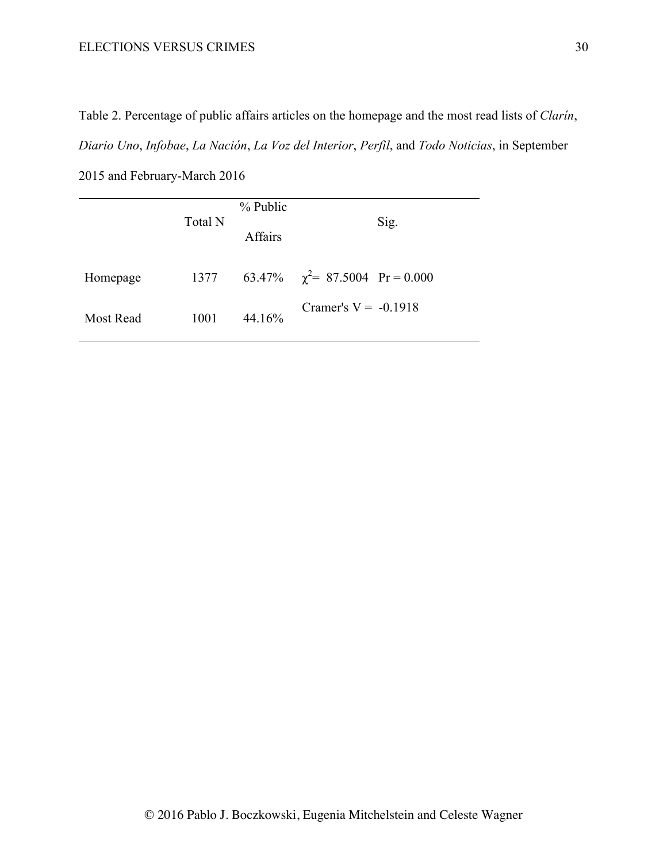2015 and February-March 2016

Table 2. Percentage of public affairs articles on the homepage and the most read lists of *Clarín*, *Diario Uno*, *Infobae*, *La Nación*, *La Voz del Interior*, *Perfil*, and *Todo Noticias*, in September

|           | Total N | % Public<br><b>Affairs</b> | Sig.                                 |
|-----------|---------|----------------------------|--------------------------------------|
| Homepage  | 1377    |                            | 63.47% $\chi^2$ = 87.5004 Pr = 0.000 |
| Most Read | 1001    | 44.16%                     | Cramer's $V = -0.1918$               |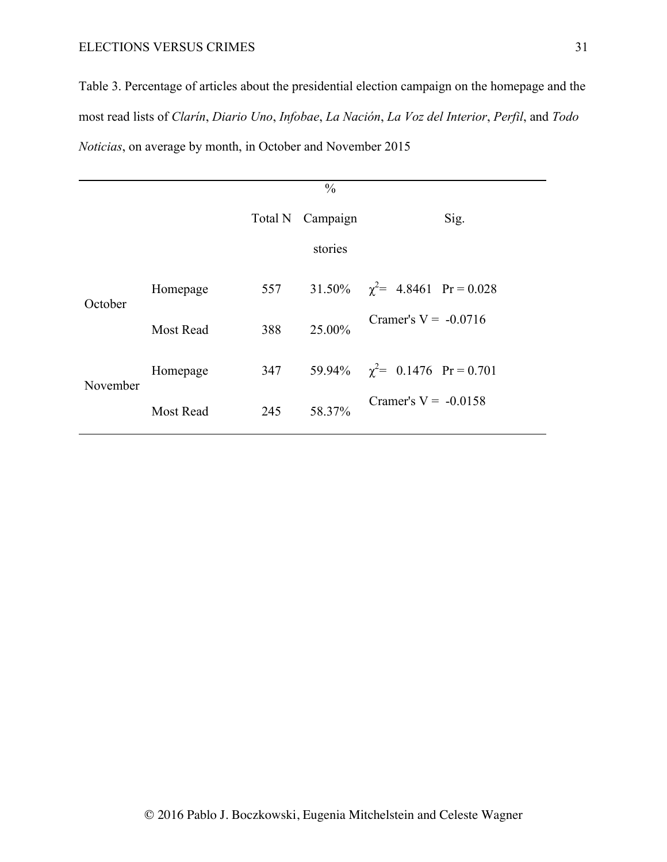Table 3. Percentage of articles about the presidential election campaign on the homepage and the most read lists of *Clarín*, *Diario Uno*, *Infobae*, *La Nación*, *La Voz del Interior*, *Perfil*, and *Todo Noticias*, on average by month, in October and November 2015

|          |                  | $\frac{0}{0}$    |         |                                     |  |
|----------|------------------|------------------|---------|-------------------------------------|--|
|          |                  | Total N Campaign |         | Sig.                                |  |
|          |                  |                  | stories |                                     |  |
| October  | Homepage         | 557              |         | 31.50% $\chi^2$ = 4.8461 Pr = 0.028 |  |
|          | <b>Most Read</b> | 388              | 25.00%  | Cramer's $V = -0.0716$              |  |
| November | Homepage         | 347              |         | 59.94% $\chi^2$ = 0.1476 Pr = 0.701 |  |
|          | <b>Most Read</b> | 245              | 58.37%  | Cramer's $V = -0.0158$              |  |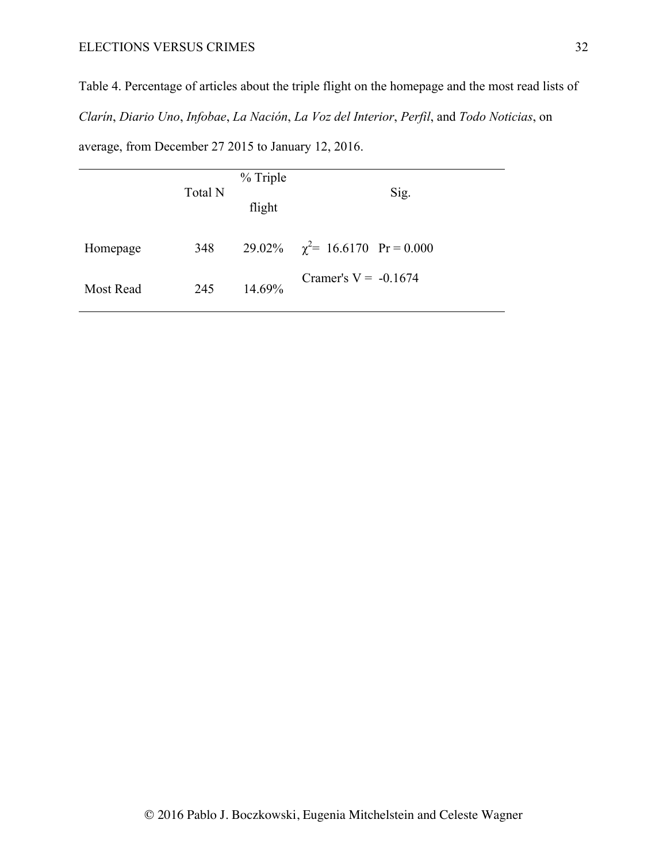Table 4. Percentage of articles about the triple flight on the homepage and the most read lists of *Clarín*, *Diario Uno*, *Infobae*, *La Nación*, *La Voz del Interior*, *Perfil*, and *Todo Noticias*, on

average, from December 27 2015 to January 12, 2016.

|                  | Total N | % Triple<br>flight | Sig.                                 |
|------------------|---------|--------------------|--------------------------------------|
| Homepage         | 348     |                    | 29.02% $\chi^2$ = 16.6170 Pr = 0.000 |
| <b>Most Read</b> | 245     | 14.69%             | Cramer's $V = -0.1674$               |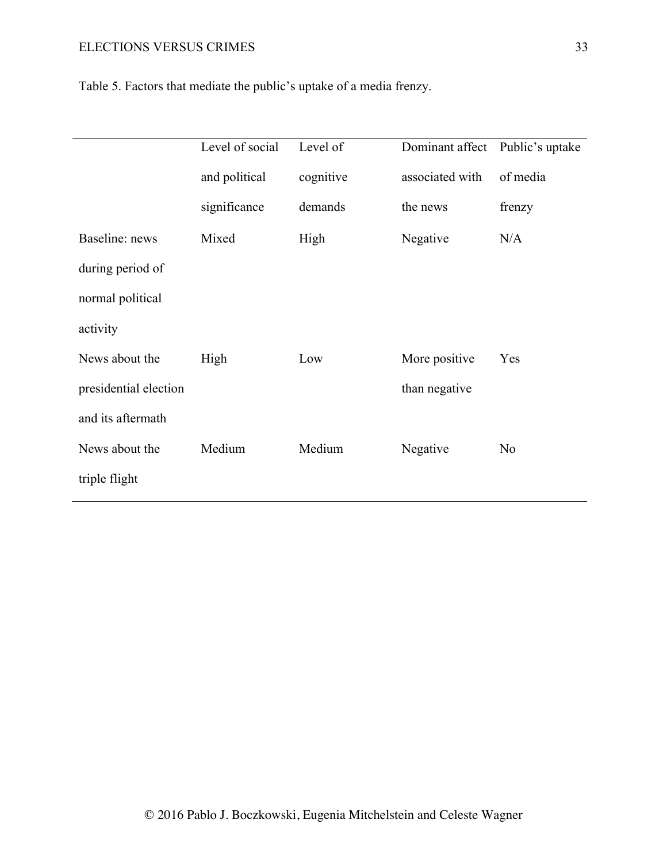|                       | Level of social | Level of  | Dominant affect | Public's uptake |
|-----------------------|-----------------|-----------|-----------------|-----------------|
|                       | and political   | cognitive | associated with | of media        |
|                       | significance    | demands   | the news        | frenzy          |
| Baseline: news        | Mixed           | High      | Negative        | N/A             |
| during period of      |                 |           |                 |                 |
| normal political      |                 |           |                 |                 |
| activity              |                 |           |                 |                 |
| News about the        | High            | Low       | More positive   | Yes             |
| presidential election |                 |           | than negative   |                 |
| and its aftermath     |                 |           |                 |                 |
| News about the        | Medium          | Medium    | Negative        | N <sub>0</sub>  |
| triple flight         |                 |           |                 |                 |

Table 5. Factors that mediate the public's uptake of a media frenzy.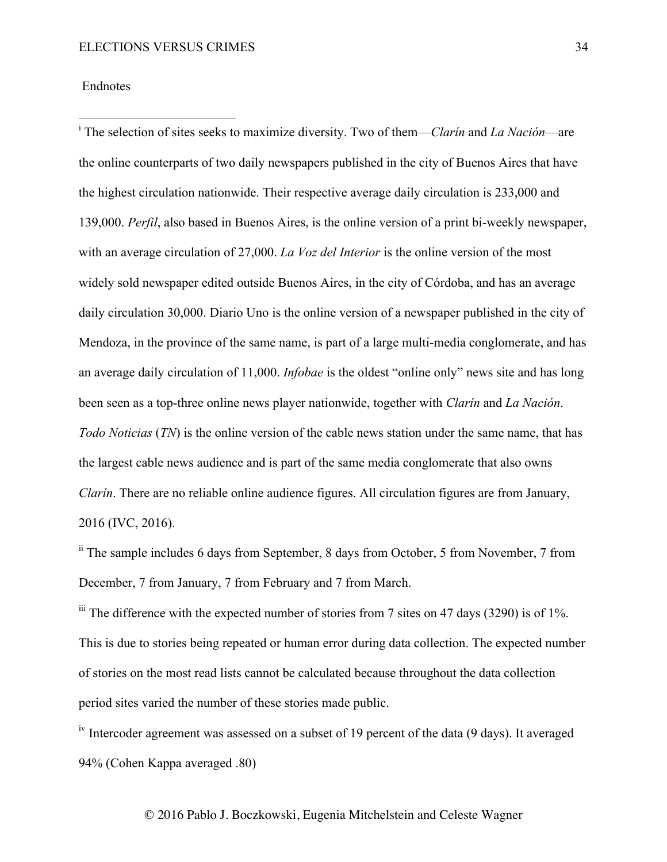## Endnotes

 <sup>i</sup> The selection of sites seeks to maximize diversity. Two of them—*Clarín* and *La Nación*—are the online counterparts of two daily newspapers published in the city of Buenos Aires that have the highest circulation nationwide. Their respective average daily circulation is 233,000 and 139,000. *Perfil*, also based in Buenos Aires, is the online version of a print bi-weekly newspaper, with an average circulation of 27,000. *La Voz del Interior* is the online version of the most widely sold newspaper edited outside Buenos Aires, in the city of Córdoba, and has an average daily circulation 30,000. Diario Uno is the online version of a newspaper published in the city of Mendoza, in the province of the same name, is part of a large multi-media conglomerate, and has an average daily circulation of 11,000. *Infobae* is the oldest "online only" news site and has long been seen as a top-three online news player nationwide, together with *Clarín* and *La Nación*. *Todo Noticias* (*TN*) is the online version of the cable news station under the same name, that has the largest cable news audience and is part of the same media conglomerate that also owns *Clarín*. There are no reliable online audience figures. All circulation figures are from January, 2016 (IVC, 2016).

ii The sample includes 6 days from September, 8 days from October, 5 from November, 7 from December, 7 from January, 7 from February and 7 from March.

 $\frac{\text{iii}}{\text{ii}}$  The difference with the expected number of stories from 7 sites on 47 days (3290) is of 1%. This is due to stories being repeated or human error during data collection. The expected number of stories on the most read lists cannot be calculated because throughout the data collection period sites varied the number of these stories made public.

 $\frac{1}{10}$  Intercoder agreement was assessed on a subset of 19 percent of the data (9 days). It averaged 94% (Cohen Kappa averaged .80)